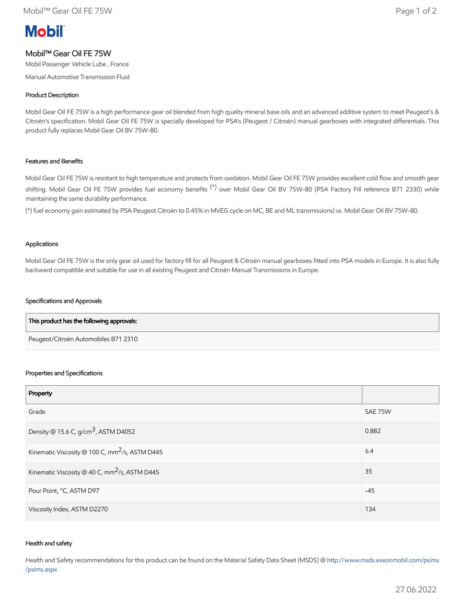# **Mobil**

# Mobil™ Gear Oil FE 75W

Mobil Passenger Vehicle Lube , France

Manual Automotive Transmission Fluid

## Product Description

Mobil Gear Oil FE 75W is a high performance gear oil blended from high quality mineral base oils and an advanced additive system to meet Peugeot's & Citroën's specification. Mobil Gear Oil FE 75W is specially developed for PSA's (Peugeot / Citroën) manual gearboxes with integrated differentials. This product fully replaces Mobil Gear Oil BV 75W-80.

### Features and Benefits

Mobil Gear Oil FE 75W is resistant to high temperature and protects from oxidation. Mobil Gear Oil FE 75W provides excellent cold flow and smooth gear shifting. Mobil Gear Oil FE 75W provides fuel economy benefits<sup>(\*)</sup> over Mobil Gear Oil BV 75W-80 (PSA Factory Fill reference B71 2330) while maintaining the same durability performance.

(\*) fuel economy gain estimated by PSA Peugeot Citroën to 0.45% in MVEG cycle on MC, BE and ML transmissions) vs. Mobil Gear Oil BV 75W-80.

#### Applications

Mobil Gear Oil FE 75W is the only gear oil used for factory fill for all Peugeot & Citroën manual gearboxes fitted into PSA models in Europe. It is also fully backward compatible and suitable for use in all existing Peugeot and Citroën Manual Transmissions in Europe.

#### Specifications and Approvals

| This product has the following approvals: |  |
|-------------------------------------------|--|
| Peugeot/Citroën Automobiles B71 2310      |  |

#### Properties and Specifications

| Property                                                   |         |
|------------------------------------------------------------|---------|
| Grade                                                      | SAE 75W |
| Density @ 15.6 C, g/cm <sup>3</sup> , ASTM D4052           | 0.882   |
| Kinematic Viscosity @ 100 C, mm <sup>2</sup> /s, ASTM D445 | 6.4     |
| Kinematic Viscosity @ 40 C, mm <sup>2</sup> /s, ASTM D445  | 35      |
| Pour Point, °C, ASTM D97                                   | $-45$   |
| Viscosity Index, ASTM D2270                                | 134     |

#### Health and safety

Health and Safety recommendations for this product can be found on the Material Safety Data Sheet (MSDS) @ [http://www.msds.exxonmobil.com/psims](http://www.msds.exxonmobil.com/psims/psims.aspx) /psims.aspx